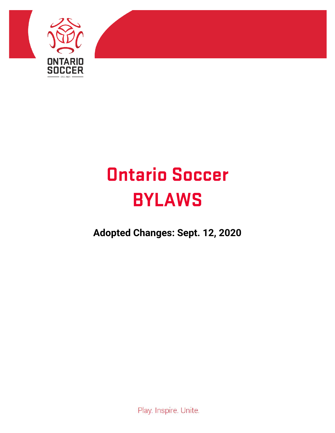

# **Ontario Soccer BYLAWS**

**Adopted Changes: Sept. 12, 2020**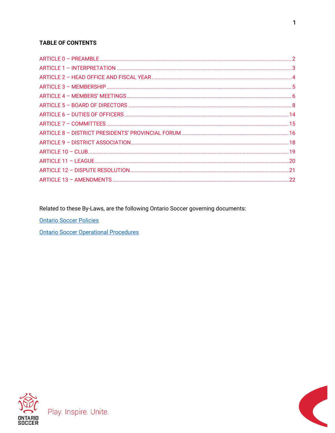#### **TABLE OF CONTENTS**

Related to these By-Laws, are the following Ontario Soccer governing documents:

**Ontario Soccer Policies** 

**Ontario Soccer Operational Procedures** 



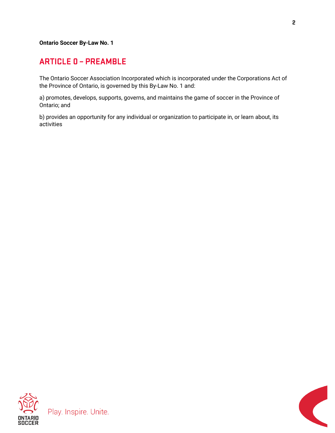**Ontario Soccer By-Law No. 1**

#### <span id="page-2-0"></span>**ARTICLE 0 - PREAMBLE**

The Ontario Soccer Association Incorporated which is incorporated under the Corporations Act of the Province of Ontario, is governed by this By-Law No. 1 and:

a) promotes, develops, supports, governs, and maintains the game of soccer in the Province of Ontario; and

b) provides an opportunity for any individual or organization to participate in, or learn about, its activities





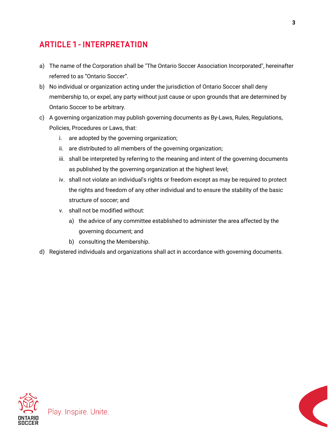# <span id="page-3-0"></span>**ARTICLE 1 - INTERPRETATION**

- a) The name of the Corporation shall be "The Ontario Soccer Association Incorporated", hereinafter referred to as "Ontario Soccer".
- b) No individual or organization acting under the jurisdiction of Ontario Soccer shall deny membership to, or expel, any party without just cause or upon grounds that are determined by Ontario Soccer to be arbitrary.
- c) A governing organization may publish governing documents as By-Laws, Rules, Regulations, Policies, Procedures or Laws, that:
	- i. are adopted by the governing organization;
	- ii. are distributed to all members of the governing organization;
	- iii. shall be interpreted by referring to the meaning and intent of the governing documents as published by the governing organization at the highest level;
	- iv. shall not violate an individual's rights or freedom except as may be required to protect the rights and freedom of any other individual and to ensure the stability of the basic structure of soccer; and
	- v. shall not be modified without:
		- a) the advice of any committee established to administer the area affected by the governing document; and
		- b) consulting the Membership.
- d) Registered individuals and organizations shall act in accordance with governing documents.



Play. Inspire. Unite.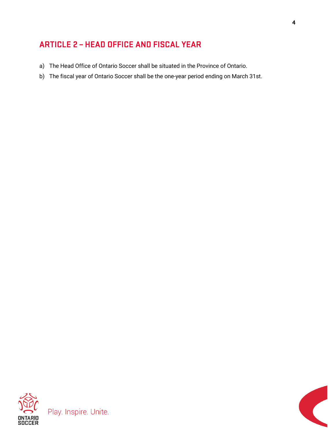# <span id="page-4-0"></span>**ARTICLE 2 - HEAD OFFICE AND FISCAL YEAR**

- a) The Head Office of Ontario Soccer shall be situated in the Province of Ontario.
- b) The fiscal year of Ontario Soccer shall be the one-year period ending on March 31st.

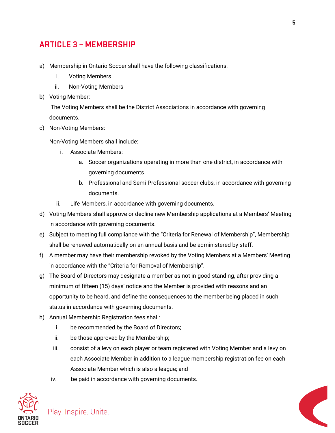#### <span id="page-5-0"></span>**ARTICLE 3 - MEMBERSHIP**

- a) Membership in Ontario Soccer shall have the following classifications:
	- i. Voting Members
	- ii. Non-Voting Members
- b) Voting Member:

The Voting Members shall be the District Associations in accordance with governing documents.

c) Non-Voting Members:

Non-Voting Members shall include:

- i. Associate Members:
	- a. Soccer organizations operating in more than one district, in accordance with governing documents.
	- b. Professional and Semi-Professional soccer clubs, in accordance with governing documents.
- ii. Life Members, in accordance with governing documents.
- d) Voting Members shall approve or decline new Membership applications at a Members' Meeting in accordance with governing documents.
- e) Subject to meeting full compliance with the "Criteria for Renewal of Membership", Membership shall be renewed automatically on an annual basis and be administered by staff.
- f) A member may have their membership revoked by the Voting Members at a Members' Meeting in accordance with the "Criteria for Removal of Membership".
- g) The Board of Directors may designate a member as not in good standing, after providing a minimum of fifteen (15) days' notice and the Member is provided with reasons and an opportunity to be heard, and define the consequences to the member being placed in such status in accordance with governing documents.
- h) Annual Membership Registration fees shall:

- i. be recommended by the Board of Directors;
- ii. be those approved by the Membership;
- iii. consist of a levy on each player or team registered with Voting Member and a levy on each Associate Member in addition to a league membership registration fee on each Associate Member which is also a league; and
- iv. be paid in accordance with governing documents.



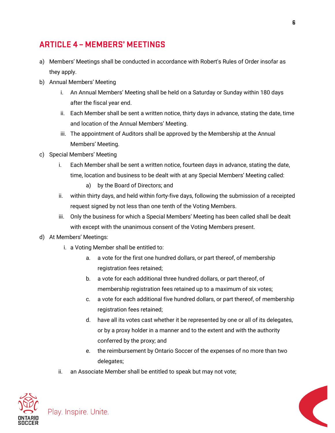# <span id="page-6-0"></span>**ARTICLE 4 - MEMBERS' MEETINGS**

- a) Members' Meetings shall be conducted in accordance with Robert's Rules of Order insofar as they apply.
- b) Annual Members' Meeting
	- i. An Annual Members' Meeting shall be held on a Saturday or Sunday within 180 days after the fiscal year end.
	- ii. Each Member shall be sent a written notice, thirty days in advance, stating the date, time and location of the Annual Members' Meeting.
	- iii. The appointment of Auditors shall be approved by the Membership at the Annual Members' Meeting.
- c) Special Members' Meeting
	- i. Each Member shall be sent a written notice, fourteen days in advance, stating the date, time, location and business to be dealt with at any Special Members' Meeting called:
		- a) by the Board of Directors; and
	- ii. within thirty days, and held within forty-five days, following the submission of a receipted request signed by not less than one tenth of the Voting Members.
	- iii. Only the business for which a Special Members' Meeting has been called shall be dealt with except with the unanimous consent of the Voting Members present.
- d) At Members' Meetings:

- i. a Voting Member shall be entitled to:
	- a. a vote for the first one hundred dollars, or part thereof, of membership registration fees retained;
	- b. a vote for each additional three hundred dollars, or part thereof, of membership registration fees retained up to a maximum of six votes;
	- c. a vote for each additional five hundred dollars, or part thereof, of membership registration fees retained;
	- d. have all its votes cast whether it be represented by one or all of its delegates, or by a proxy holder in a manner and to the extent and with the authority conferred by the proxy; and
	- e. the reimbursement by Ontario Soccer of the expenses of no more than two delegates;
- ii. an Associate Member shall be entitled to speak but may not vote;



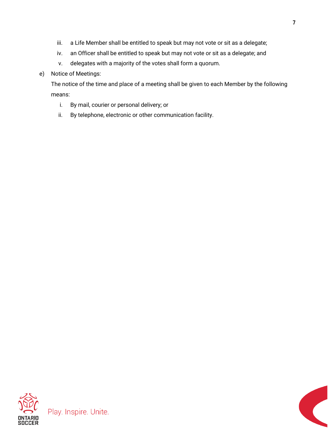- iii. a Life Member shall be entitled to speak but may not vote or sit as a delegate;
- iv. an Officer shall be entitled to speak but may not vote or sit as a delegate; and
- v. delegates with a majority of the votes shall form a quorum.

#### e) Notice of Meetings:

The notice of the time and place of a meeting shall be given to each Member by the following means:

- i. By mail, courier or personal delivery; or
- ii. By telephone, electronic or other communication facility.

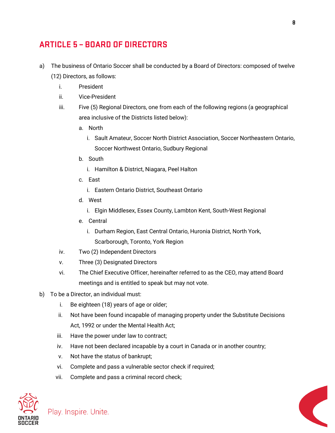### <span id="page-8-0"></span>**ARTICLE 5 - BOARD OF DIRECTORS**

- a) The business of Ontario Soccer shall be conducted by a Board of Directors: composed of twelve (12) Directors, as follows:
	- i. President
	- ii. Vice-President
	- iii. Five (5) Regional Directors, one from each of the following regions (a geographical area inclusive of the Districts listed below):
		- a. North
			- i. Sault Amateur, Soccer North District Association, Soccer Northeastern Ontario, Soccer Northwest Ontario, Sudbury Regional
		- b. South
			- i. Hamilton & District, Niagara, Peel Halton
		- c. East
			- i. Eastern Ontario District, Southeast Ontario
		- d. West
			- i. Elgin Middlesex, Essex County, Lambton Kent, South-West Regional
		- e. Central
			- i. Durham Region, East Central Ontario, Huronia District, North York, Scarborough, Toronto, York Region
	- iv. Two (2) Independent Directors
	- v. Three (3) Designated Directors
	- vi. The Chief Executive Officer, hereinafter referred to as the CEO, may attend Board meetings and is entitled to speak but may not vote.
- b) To be a Director, an individual must:
	- i. Be eighteen (18) years of age or older;
	- ii. Not have been found incapable of managing property under the Substitute Decisions Act, 1992 or under the Mental Health Act;
	- iii. Have the power under law to contract;
	- iv. Have not been declared incapable by a court in Canada or in another country;
	- v. Not have the status of bankrupt;
	- vi. Complete and pass a vulnerable sector check if required;
	- vii. Complete and pass a criminal record check;



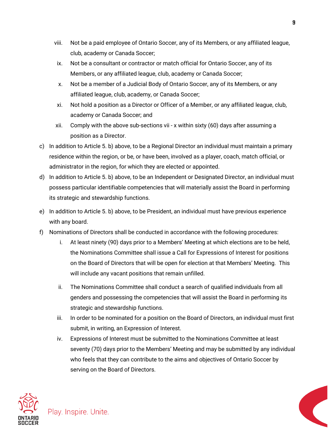- viii. Not be a paid employee of Ontario Soccer, any of its Members, or any affiliated league, club, academy or Canada Soccer;
- ix. Not be a consultant or contractor or match official for Ontario Soccer, any of its Members, or any affiliated league, club, academy or Canada Soccer;
- x. Not be a member of a Judicial Body of Ontario Soccer, any of its Members, or any affiliated league, club, academy, or Canada Soccer;
- xi. Not hold a position as a Director or Officer of a Member, or any affiliated league, club, academy or Canada Soccer; and
- xii. Comply with the above sub-sections vii x within sixty (60) days after assuming a position as a Director.
- c) In addition to Article 5. b) above, to be a Regional Director an individual must maintain a primary residence within the region, or be, or have been, involved as a player, coach, match official, or administrator in the region, for which they are elected or appointed.
- d) In addition to Article 5. b) above, to be an Independent or Designated Director, an individual must possess particular identifiable competencies that will materially assist the Board in performing its strategic and stewardship functions.
- e) In addition to Article 5. b) above, to be President, an individual must have previous experience with any board.
- f) Nominations of Directors shall be conducted in accordance with the following procedures:
	- i. At least ninety (90) days prior to a Members' Meeting at which elections are to be held, the Nominations Committee shall issue a Call for Expressions of Interest for positions on the Board of Directors that will be open for election at that Members' Meeting. This will include any vacant positions that remain unfilled.
	- ii. The Nominations Committee shall conduct a search of qualified individuals from all genders and possessing the competencies that will assist the Board in performing its strategic and stewardship functions.
	- iii. In order to be nominated for a position on the Board of Directors, an individual must first submit, in writing, an Expression of Interest.
	- iv. Expressions of Interest must be submitted to the Nominations Committee at least seventy (70) days prior to the Members' Meeting and may be submitted by any individual who feels that they can contribute to the aims and objectives of Ontario Soccer by serving on the Board of Directors.



Play. Inspire. Unite.

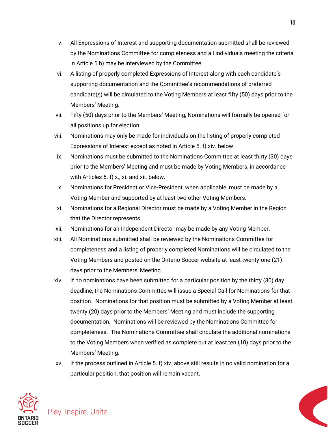- v. All Expressions of Interest and supporting documentation submitted shall be reviewed by the Nominations Committee for completeness and all individuals meeting the criteria in Article 5 b) may be interviewed by the Committee.
- vi. A listing of properly completed Expressions of Interest along with each candidate's supporting documentation and the Committee's recommendations of preferred candidate(s) will be circulated to the Voting Members at least fifty (50) days prior to the Members' Meeting.
- vii. Fifty (50) days prior to the Members' Meeting, Nominations will formally be opened for all positions up for election.
- viii. Nominations may only be made for individuals on the listing of properly completed Expressions of Interest except as noted in Article 5. f) xiv. below.
- ix. Nominations must be submitted to the Nominations Committee at least thirty (30) days prior to the Members' Meeting and must be made by Voting Members, in accordance with Articles 5. f) x., xi. and xii. below.
- x. Nominations for President or Vice-President, when applicable, must be made by a Voting Member and supported by at least two other Voting Members.
- xi. Nominations for a Regional Director must be made by a Voting Member in the Region that the Director represents.
- xii. Nominations for an Independent Director may be made by any Voting Member.
- xiii. All Nominations submitted shall be reviewed by the Nominations Committee for completeness and a listing of properly completed Nominations will be circulated to the Voting Members and posted on the Ontario Soccer website at least twenty-one (21) days prior to the Members' Meeting.
- xiv. If no nominations have been submitted for a particular position by the thirty (30) day deadline, the Nominations Committee will issue a Special Call for Nominations for that position. Nominations for that position must be submitted by a Voting Member at least twenty (20) days prior to the Members' Meeting and must include the supporting documentation. Nominations will be reviewed by the Nominations Committee for completeness. The Nominations Committee shall circulate the additional nominations to the Voting Members when verified as complete but at least ten (10) days prior to the Members' Meeting.
- xv. If the process outlined in Article 5. f) xiv. above still results in no valid nomination for a particular position, that position will remain vacant.



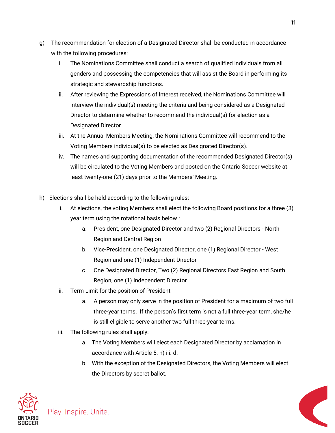- g) The recommendation for election of a Designated Director shall be conducted in accordance with the following procedures:
	- i. The Nominations Committee shall conduct a search of qualified individuals from all genders and possessing the competencies that will assist the Board in performing its strategic and stewardship functions.
	- ii. After reviewing the Expressions of Interest received, the Nominations Committee will interview the individual(s) meeting the criteria and being considered as a Designated Director to determine whether to recommend the individual(s) for election as a Designated Director.
	- iii. At the Annual Members Meeting, the Nominations Committee will recommend to the Voting Members individual(s) to be elected as Designated Director(s).
	- iv. The names and supporting documentation of the recommended Designated Director(s) will be circulated to the Voting Members and posted on the Ontario Soccer website at least twenty-one (21) days prior to the Members' Meeting.
- h) Elections shall be held according to the following rules:
	- i. At elections, the voting Members shall elect the following Board positions for a three (3) year term using the rotational basis below :
		- a. President, one Designated Director and two (2) Regional Directors North Region and Central Region
		- b. Vice-President, one Designated Director, one (1) Regional Director West Region and one (1) Independent Director
		- c. One Designated Director, Two (2) Regional Directors East Region and South Region, one (1) Independent Director
	- ii. Term Limit for the position of President
		- a. A person may only serve in the position of President for a maximum of two full three-year terms. If the person's first term is not a full three-year term, she/he is still eligible to serve another two full three-year terms.
	- iii. The following rules shall apply:
		- a. The Voting Members will elect each Designated Director by acclamation in accordance with Article 5. h) iii. d.
		- b. With the exception of the Designated Directors, the Voting Members will elect the Directors by secret ballot.



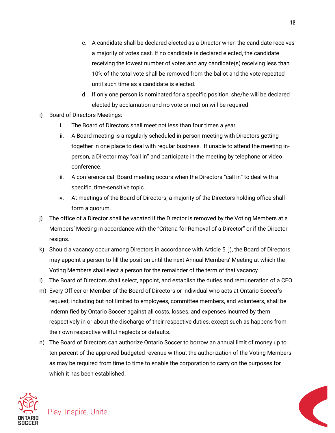- c. A candidate shall be declared elected as a Director when the candidate receives a majority of votes cast. If no candidate is declared elected, the candidate receiving the lowest number of votes and any candidate(s) receiving less than 10% of the total vote shall be removed from the ballot and the vote repeated until such time as a candidate is elected.
- d. If only one person is nominated for a specific position, she/he will be declared elected by acclamation and no vote or motion will be required.
- i) Board of Directors Meetings:
	- i. The Board of Directors shall meet not less than four times a year.
	- ii. A Board meeting is a regularly scheduled in-person meeting with Directors getting together in one place to deal with regular business. If unable to attend the meeting inperson, a Director may "call in" and participate in the meeting by telephone or video conference.
	- iii. A conference call Board meeting occurs when the Directors "call in" to deal with a specific, time-sensitive topic.
	- iv. At meetings of the Board of Directors, a majority of the Directors holding office shall form a quorum.
- j) The office of a Director shall be vacated if the Director is removed by the Voting Members at a Members' Meeting in accordance with the "Criteria for Removal of a Director" or if the Director resigns.
- k) Should a vacancy occur among Directors in accordance with Article 5. j), the Board of Directors may appoint a person to fill the position until the next Annual Members' Meeting at which the Voting Members shall elect a person for the remainder of the term of that vacancy.
- l) The Board of Directors shall select, appoint, and establish the duties and remuneration of a CEO.
- m) Every Officer or Member of the Board of Directors or individual who acts at Ontario Soccer's request, including but not limited to employees, committee members, and volunteers, shall be indemnified by Ontario Soccer against all costs, losses, and expenses incurred by them respectively in or about the discharge of their respective duties, except such as happens from their own respective willful neglects or defaults.
- n) The Board of Directors can authorize Ontario Soccer to borrow an annual limit of money up to ten percent of the approved budgeted revenue without the authorization of the Voting Members as may be required from time to time to enable the corporation to carry on the purposes for which it has been established.



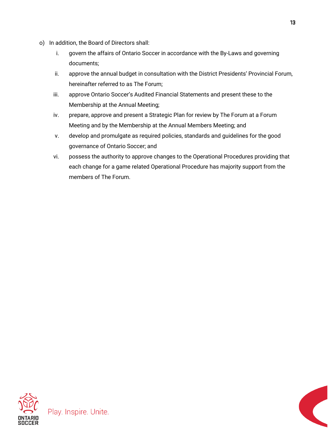- o) In addition, the Board of Directors shall:
	- i. govern the affairs of Ontario Soccer in accordance with the By-Laws and governing documents;
	- ii. approve the annual budget in consultation with the District Presidents' Provincial Forum, hereinafter referred to as The Forum;
	- iii. approve Ontario Soccer's Audited Financial Statements and present these to the Membership at the Annual Meeting;
	- iv. prepare, approve and present a Strategic Plan for review by The Forum at a Forum Meeting and by the Membership at the Annual Members Meeting; and
	- v. develop and promulgate as required policies, standards and guidelines for the good governance of Ontario Soccer; and
	- vi. possess the authority to approve changes to the Operational Procedures providing that each change for a game related Operational Procedure has majority support from the members of The Forum.

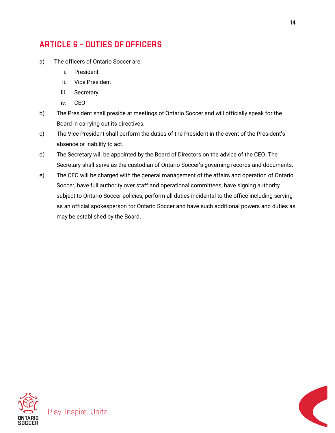# <span id="page-14-0"></span>**ARTICLE 6 - DUTIES OF OFFICERS**

- a) The officers of Ontario Soccer are:
	- i. President
	- ii. Vice President
	- iii. Secretary
	- iv. CEO
- b) The President shall preside at meetings of Ontario Soccer and will officially speak for the Board in carrying out its directives.
- c) The Vice President shall perform the duties of the President in the event of the President's absence or inability to act.
- d) The Secretary will be appointed by the Board of Directors on the advice of the CEO. The Secretary shall serve as the custodian of Ontario Soccer's governing records and documents.
- e) The CEO will be charged with the general management of the affairs and operation of Ontario Soccer, have full authority over staff and operational committees, have signing authority subject to Ontario Soccer policies, perform all duties incidental to the office including serving as an official spokesperson for Ontario Soccer and have such additional powers and duties as may be established by the Board.

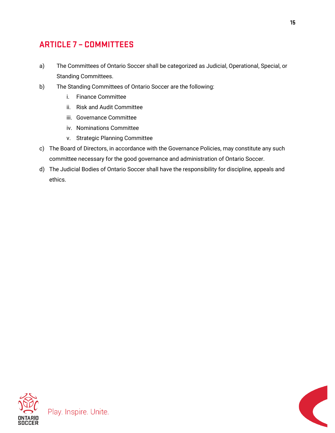# <span id="page-15-0"></span>**ARTICLE 7 - COMMITTEES**

- a) The Committees of Ontario Soccer shall be categorized as Judicial, Operational, Special, or Standing Committees.
- b) The Standing Committees of Ontario Soccer are the following:
	- i. Finance Committee
	- ii. Risk and Audit Committee
	- iii. Governance Committee
	- iv. Nominations Committee
	- v. Strategic Planning Committee
- c) The Board of Directors, in accordance with the Governance Policies, may constitute any such committee necessary for the good governance and administration of Ontario Soccer.
- d) The Judicial Bodies of Ontario Soccer shall have the responsibility for discipline, appeals and ethics.





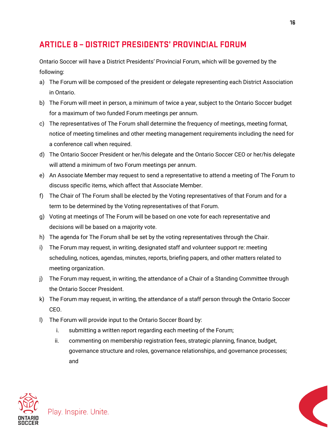# <span id="page-16-0"></span>**ARTICLE 8 - DISTRICT PRESIDENTS' PROVINCIAL FORUM**

Ontario Soccer will have a District Presidents' Provincial Forum, which will be governed by the following:

- a) The Forum will be composed of the president or delegate representing each District Association in Ontario.
- b) The Forum will meet in person, a minimum of twice a year, subject to the Ontario Soccer budget for a maximum of two funded Forum meetings per annum.
- c) The representatives of The Forum shall determine the frequency of meetings, meeting format, notice of meeting timelines and other meeting management requirements including the need for a conference call when required.
- d) The Ontario Soccer President or her/his delegate and the Ontario Soccer CEO or her/his delegate will attend a minimum of two Forum meetings per annum.
- e) An Associate Member may request to send a representative to attend a meeting of The Forum to discuss specific items, which affect that Associate Member.
- f) The Chair of The Forum shall be elected by the Voting representatives of that Forum and for a term to be determined by the Voting representatives of that Forum.
- g) Voting at meetings of The Forum will be based on one vote for each representative and decisions will be based on a majority vote.
- h) The agenda for The Forum shall be set by the voting representatives through the Chair.
- i) The Forum may request, in writing, designated staff and volunteer support re: meeting scheduling, notices, agendas, minutes, reports, briefing papers, and other matters related to meeting organization.
- j) The Forum may request, in writing, the attendance of a Chair of a Standing Committee through the Ontario Soccer President.
- k) The Forum may request, in writing, the attendance of a staff person through the Ontario Soccer CEO.
- l) The Forum will provide input to the Ontario Soccer Board by:
	- i. submitting a written report regarding each meeting of the Forum;
	- ii. commenting on membership registration fees, strategic planning, finance, budget, governance structure and roles, governance relationships, and governance processes; and



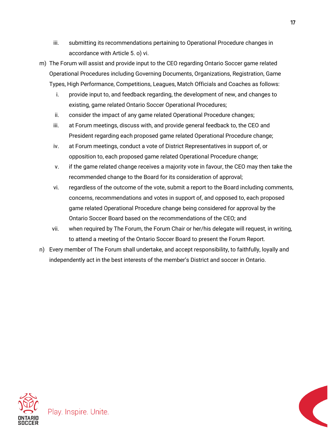- iii. submitting its recommendations pertaining to Operational Procedure changes in accordance with Article 5. o) vi.
- m) The Forum will assist and provide input to the CEO regarding Ontario Soccer game related Operational Procedures including Governing Documents, Organizations, Registration, Game Types, High Performance, Competitions, Leagues, Match Officials and Coaches as follows:
	- i. provide input to, and feedback regarding, the development of new, and changes to existing, game related Ontario Soccer Operational Procedures;
	- ii. consider the impact of any game related Operational Procedure changes;
	- iii. at Forum meetings, discuss with, and provide general feedback to, the CEO and President regarding each proposed game related Operational Procedure change;
	- iv. at Forum meetings, conduct a vote of District Representatives in support of, or opposition to, each proposed game related Operational Procedure change;
	- v. if the game related change receives a majority vote in favour, the CEO may then take the recommended change to the Board for its consideration of approval;
	- vi. regardless of the outcome of the vote, submit a report to the Board including comments, concerns, recommendations and votes in support of, and opposed to, each proposed game related Operational Procedure change being considered for approval by the Ontario Soccer Board based on the recommendations of the CEO; and
	- vii. when required by The Forum, the Forum Chair or her/his delegate will request, in writing, to attend a meeting of the Ontario Soccer Board to present the Forum Report.
- n) Every member of The Forum shall undertake, and accept responsibility, to faithfully, loyally and independently act in the best interests of the member's District and soccer in Ontario.

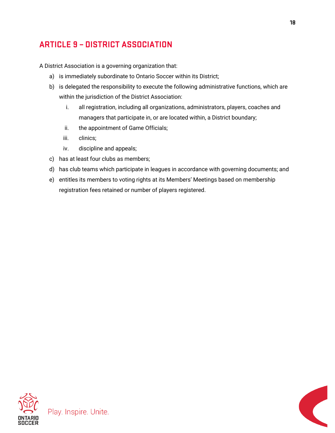# <span id="page-18-0"></span>**ARTICLE 9 - DISTRICT ASSOCIATION**

A District Association is a governing organization that:

- a) is immediately subordinate to Ontario Soccer within its District;
- b) is delegated the responsibility to execute the following administrative functions, which are within the jurisdiction of the District Association:
	- i. all registration, including all organizations, administrators, players, coaches and managers that participate in, or are located within, a District boundary;
	- ii. the appointment of Game Officials;
	- iii. clinics;
	- iv. discipline and appeals;
- c) has at least four clubs as members;
- d) has club teams which participate in leagues in accordance with governing documents; and
- e) entitles its members to voting rights at its Members' Meetings based on membership registration fees retained or number of players registered.



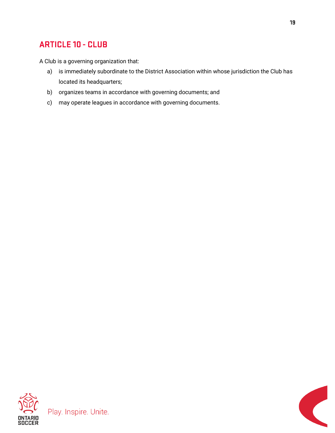# <span id="page-19-0"></span>**ARTICLE 10 - CLUB**

A Club is a governing organization that:

- a) is immediately subordinate to the District Association within whose jurisdiction the Club has located its headquarters;
- b) organizes teams in accordance with governing documents; and
- c) may operate leagues in accordance with governing documents.



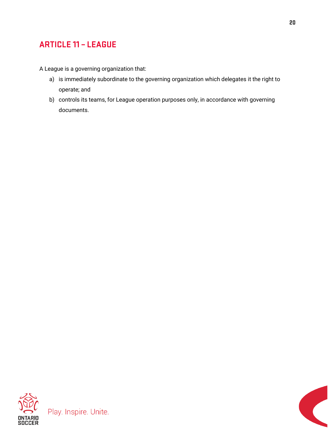# <span id="page-20-0"></span>**ARTICLE 11 - LEAGUE**

A League is a governing organization that:

- a) is immediately subordinate to the governing organization which delegates it the right to operate; and
- b) controls its teams, for League operation purposes only, in accordance with governing documents.





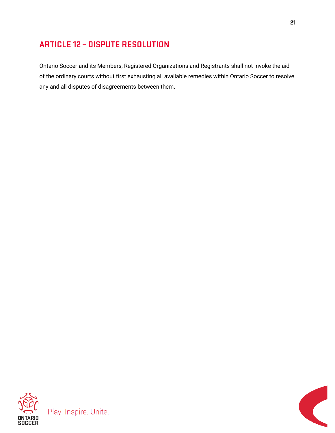# <span id="page-21-0"></span>**ARTICLE 12 - DISPUTE RESOLUTION**

Ontario Soccer and its Members, Registered Organizations and Registrants shall not invoke the aid of the ordinary courts without first exhausting all available remedies within Ontario Soccer to resolve any and all disputes of disagreements between them.

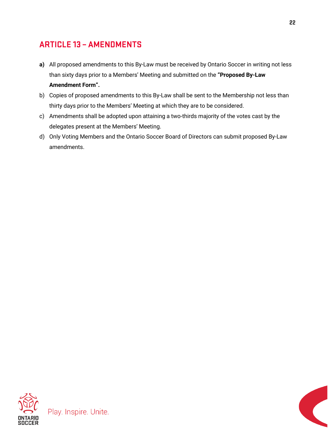# <span id="page-22-0"></span>**ARTICLE 13 - AMENDMENTS**

- **a)** All proposed amendments to this By-Law must be received by Ontario Soccer in writing not less than sixty days prior to a Members' Meeting and submitted on the **"Proposed By-Law Amendment Form".**
- b) Copies of proposed amendments to this By-Law shall be sent to the Membership not less than thirty days prior to the Members' Meeting at which they are to be considered.
- c) Amendments shall be adopted upon attaining a two-thirds majority of the votes cast by the delegates present at the Members' Meeting.
- d) Only Voting Members and the Ontario Soccer Board of Directors can submit proposed By-Law amendments.